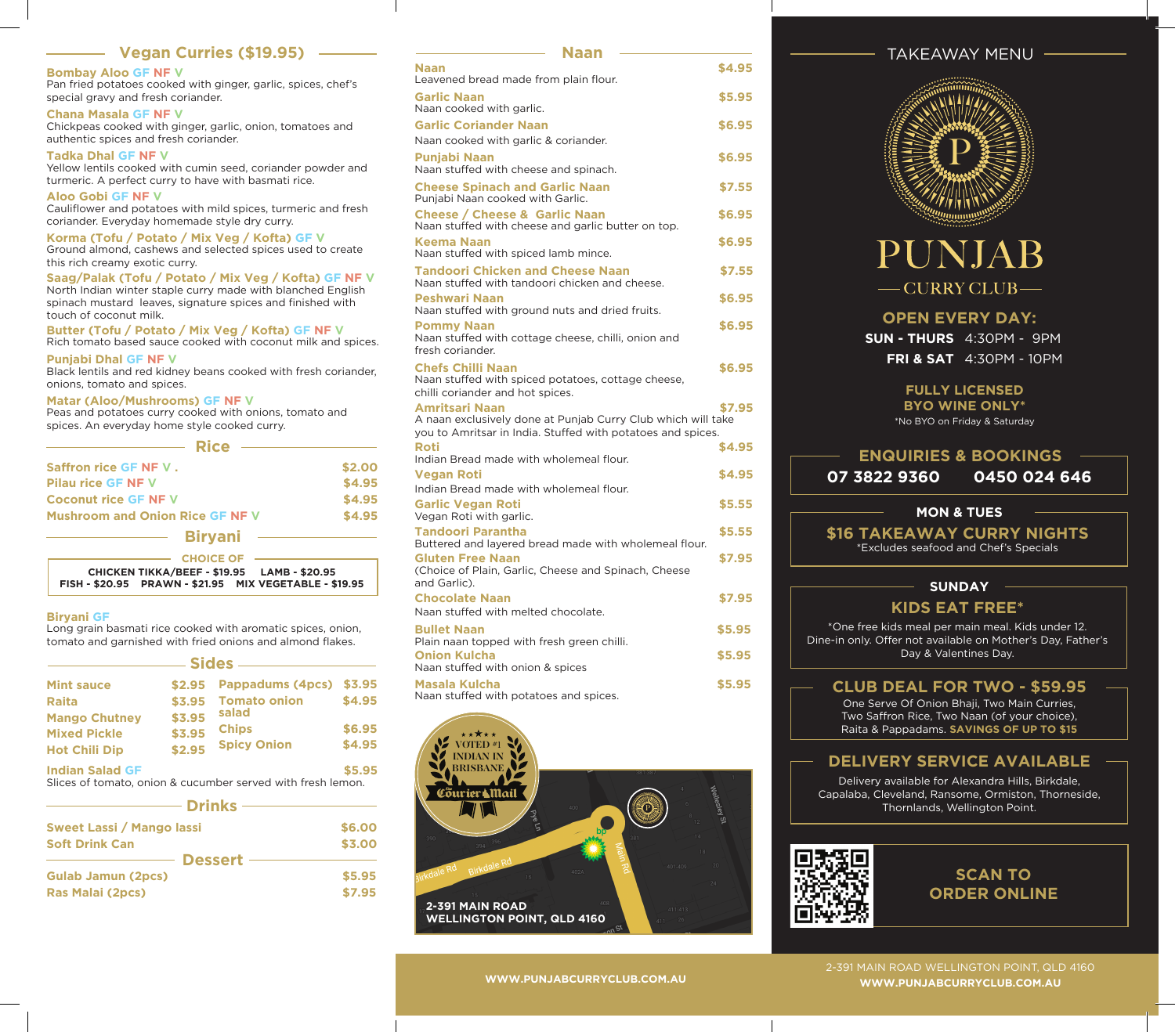# **Vegan Curries (\$19.95)**

### **Bombay Aloo GF NF V**

Pan fried potatoes cooked with ginger, garlic, spices, chef's special gravy and fresh coriander. **Chana Masala GF NF V** 

Chickpeas cooked with ginger, garlic, onion, tomatoes and authentic spices and fresh coriander.

### **Tadka Dhal GF NF V**

Yellow lentils cooked with cumin seed, coriander powder and turmeric. A perfect curry to have with basmati rice.

**Aloo Gobi GF NF V** 

Cauliflower and potatoes with mild spices, turmeric and fresh coriander. Everyday homemade style dry curry.

**Korma (Tofu / Potato / Mix Veg / Kofta) GF V** 

Ground almond, cashews and selected spices used to create this rich creamy exotic curry.

**Saag/Palak (Tofu / Potato / Mix Veg / Kofta) GF NF V**  North Indian winter staple curry made with blanched English spinach mustard leaves, signature spices and finished with touch of coconut milk.

**Butter (Tofu / Potato / Mix Veg / Kofta) GF NF V**  Rich tomato based sauce cooked with coconut milk and spices.

**Punjabi Dhal GF NF V**

Black lentils and red kidney beans cooked with fresh coriander, onions, tomato and spices.

#### **Matar (Aloo/Mushrooms) GF NF V**

Peas and potatoes curry cooked with onions, tomato and spices. An everyday home style cooked curry.

| <b>Rice</b>                                                     |        |
|-----------------------------------------------------------------|--------|
| Saffron rice GF NF V.                                           | \$2,00 |
| <b>Pilau rice GF NF V</b>                                       | \$4.95 |
| <b>Coconut rice GF NF V</b>                                     | \$4.95 |
| <b>Mushroom and Onion Rice GF NF V</b>                          | \$4.95 |
| <b>Biryani</b>                                                  |        |
| <b>CHOICE OF</b><br>CHICKEN TIKKA/BEEF - \$19.95 LAMB - \$20.95 |        |
| FISH - \$20.95 PRAWN - \$21.95 MIX VEGETABLE - \$19.95          |        |

#### **Biryani GF**

Long grain basmati rice cooked with aromatic spices, onion, tomato and garnished with fried onions and almond flakes.

| - Sides –              |        |                                                             |        |  |
|------------------------|--------|-------------------------------------------------------------|--------|--|
| <b>Mint sauce</b>      | \$2.95 | Pappadums (4pcs)                                            | \$3.95 |  |
| <b>Raita</b>           | \$3.95 | <b>Tomato onion</b>                                         | \$4.95 |  |
| <b>Mango Chutney</b>   | \$3.95 | salad                                                       |        |  |
| <b>Mixed Pickle</b>    | \$3.95 | <b>Chips</b>                                                | \$6.95 |  |
| <b>Hot Chili Dip</b>   | \$2.95 | <b>Spicy Onion</b>                                          | \$4.95 |  |
| <b>Indian Salad GF</b> |        | Slices of tomato, onion & cucumber served with fresh lemon. | \$5,95 |  |

| – Drinks -                       |        |
|----------------------------------|--------|
| <b>Sweet Lassi / Mango lassi</b> | \$6.00 |
| <b>Soft Drink Can</b>            | \$3.00 |
| <b>Dessert</b>                   |        |
| <b>Gulab Jamun (2pcs)</b>        | \$5.95 |
| Ras Malai (2pcs)                 | \$7.95 |

| <b>Naan</b><br>Leavened bread made from plain flour.                                                                                                 | \$4.95 |
|------------------------------------------------------------------------------------------------------------------------------------------------------|--------|
| <b>Garlic Naan</b><br>Naan cooked with garlic.                                                                                                       | \$5.95 |
| <b>Garlic Coriander Naan</b>                                                                                                                         | \$6.95 |
| Naan cooked with garlic & coriander.                                                                                                                 |        |
| Punjabi Naan<br>Naan stuffed with cheese and spinach.                                                                                                | \$6.95 |
| <b>Cheese Spinach and Garlic Naan</b><br>Punjabi Naan cooked with Garlic.                                                                            | \$7.55 |
| <b>Cheese / Cheese &amp; Garlic Naan</b><br>Naan stuffed with cheese and garlic butter on top.                                                       | \$6.95 |
| <b>Keema Naan</b><br>Naan stuffed with spiced lamb mince.                                                                                            | \$6.95 |
| <b>Tandoori Chicken and Cheese Naan</b><br>Naan stuffed with tandoori chicken and cheese.                                                            | \$7.55 |
| Peshwari Naan<br>Naan stuffed with ground nuts and dried fruits.                                                                                     | \$6.95 |
| <b>Pommy Naan</b><br>Naan stuffed with cottage cheese, chilli, onion and<br>fresh coriander.                                                         | \$6.95 |
| <b>Chefs Chilli Naan</b><br>Naan stuffed with spiced potatoes, cottage cheese,<br>chilli coriander and hot spices.                                   | \$6.95 |
| <b>Amritsari Naan</b><br>A naan exclusively done at Punjab Curry Club which will take<br>you to Amritsar in India. Stuffed with potatoes and spices. | \$7.95 |
| <b>Roti</b><br>Indian Bread made with wholemeal flour.                                                                                               | \$4.95 |
| <b>Vegan Roti</b><br>Indian Bread made with wholemeal flour.                                                                                         | \$4.95 |
| <b>Garlic Vegan Roti</b><br>Vegan Roti with garlic.                                                                                                  | \$5.55 |
| <b>Tandoori Parantha</b><br>Buttered and layered bread made with wholemeal flour.                                                                    | \$5.55 |
| <b>Gluten Free Naan</b><br>(Choice of Plain, Garlic, Cheese and Spinach, Cheese<br>and Garlic).                                                      | \$7.95 |
| <b>Chocolate Naan</b><br>Naan stuffed with melted chocolate.                                                                                         | \$7.95 |
| <b>Bullet Naan</b><br>Plain naan topped with fresh green chilli.                                                                                     | \$5.95 |
| <b>Onion Kulcha</b><br>Naan stuffed with onion & spices                                                                                              | \$5.95 |
| <b>Masala Kulcha</b><br>Naan stuffed with potatoes and spices.                                                                                       | \$5.95 |

**Naan**



# TAKEAWAY MENU



# PUNJAB - CURRY CLUB-

# **OPEN EVERY DAY:**

**SUN - THURS** 4:30PM - 9PM **FRI & SAT** 4:30PM - 10PM

# **FULLY LICENSED**

**BYO WINE ONLY\***  \*No BYO on Friday & Saturday

# **ENQUIRIES & BOOKINGS**

**07 3822 9360 0450 024 646**

# **MON & TUES**

**\$16 TAKEAWAY CURRY NIGHTS** 

\*Excludes seafood and Chef's Specials

## **SUNDAY**

# **KIDS EAT FREE\***

\*One free kids meal per main meal. Kids under 12. Dine-in only. Offer not available on Mother's Day, Father's Day & Valentines Day.

# **CLUB DEAL FOR TWO - \$59.95**

One Serve Of Onion Bhaji, Two Main Curries, Two Saffron Rice, Two Naan (of your choice), Raita & Pappadams. **SAVINGS OF UP TO \$15**

# **DELIVERY SERVICE AVAILABLE**

Delivery available for Alexandra Hills, Birkdale, Capalaba, Cleveland, Ransome, Ormiston, Thorneside, Thornlands, Wellington Point.



# **SCAN TO ORDER ONLINE**

2-391 MAIN ROAD WELLINGTON POINT, QLD 4160 **WWW.PUNJABCURRYCLUB.COM.AU WWW.PUNJABCURRYCLUB.COM.AU**